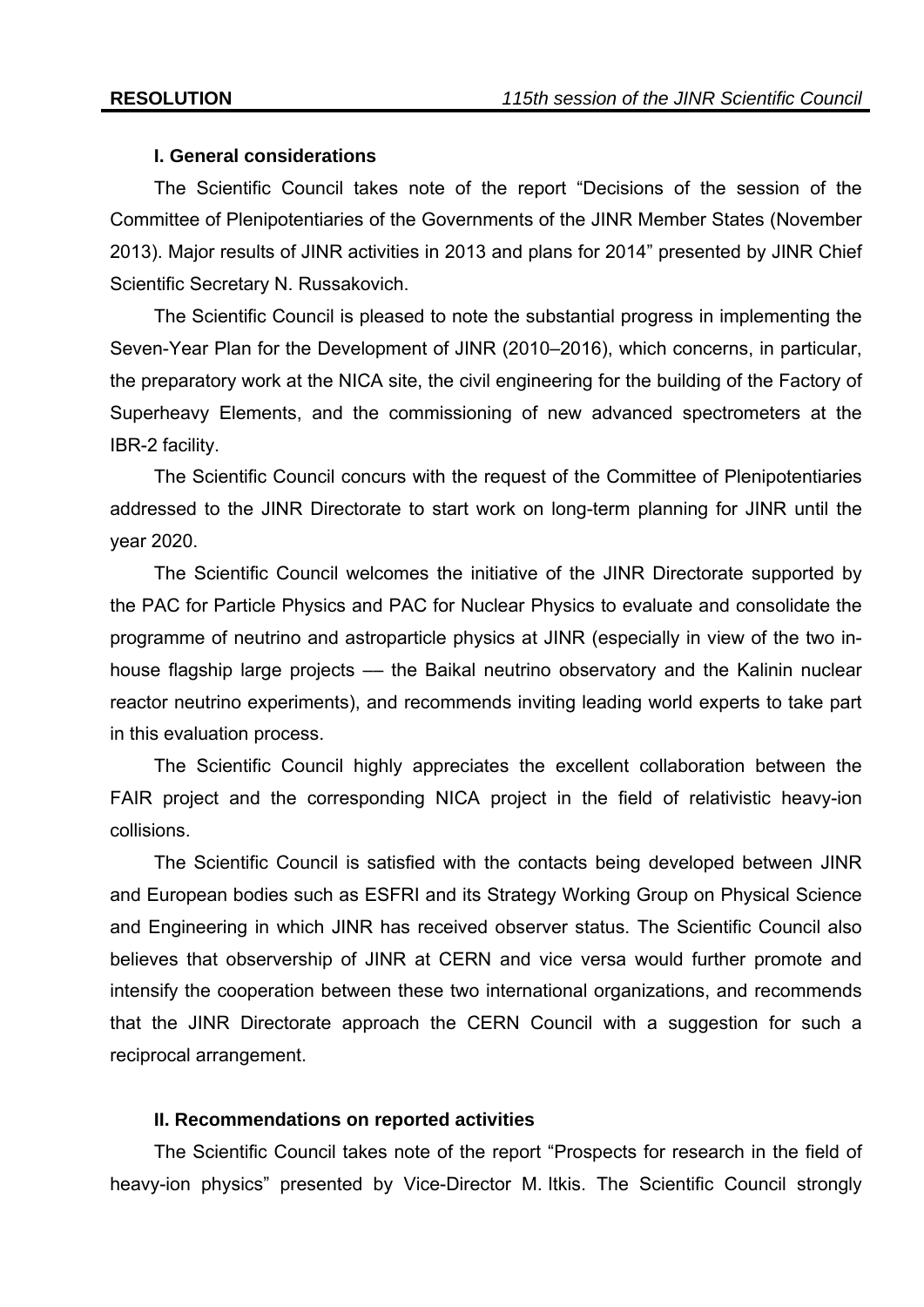# **I. General considerations**

The Scientific Council takes note of the report "Decisions of the session of the Committee of Plenipotentiaries of the Governments of the JINR Member States (November 2013). Major results of JINR activities in 2013 and plans for 2014" presented by JINR Chief Scientific Secretary N. Russakovich.

The Scientific Council is pleased to note the substantial progress in implementing the Seven-Year Plan for the Development of JINR (2010–2016), which concerns, in particular, the preparatory work at the NICA site, the civil engineering for the building of the Factory of Superheavy Elements, and the commissioning of new advanced spectrometers at the IBR-2 facility.

The Scientific Council concurs with the request of the Committee of Plenipotentiaries addressed to the JINR Directorate to start work on long-term planning for JINR until the year 2020.

The Scientific Council welcomes the initiative of the JINR Directorate supported by the PAC for Particle Physics and PAC for Nuclear Physics to evaluate and consolidate the programme of neutrino and astroparticle physics at JINR (especially in view of the two inhouse flagship large projects –– the Baikal neutrino observatory and the Kalinin nuclear reactor neutrino experiments), and recommends inviting leading world experts to take part in this evaluation process.

The Scientific Council highly appreciates the excellent collaboration between the FAIR project and the corresponding NICA project in the field of relativistic heavy-ion collisions.

The Scientific Council is satisfied with the contacts being developed between JINR and European bodies such as ESFRI and its Strategy Working Group on Physical Science and Engineering in which JINR has received observer status. The Scientific Council also believes that observership of JINR at CERN and vice versa would further promote and intensify the cooperation between these two international organizations, and recommends that the JINR Directorate approach the CERN Council with a suggestion for such a reciprocal arrangement.

# **II. Recommendations on reported activities**

The Scientific Council takes note of the report "Prospects for research in the field of heavy-ion physics" presented by Vice-Director M. Itkis. The Scientific Council strongly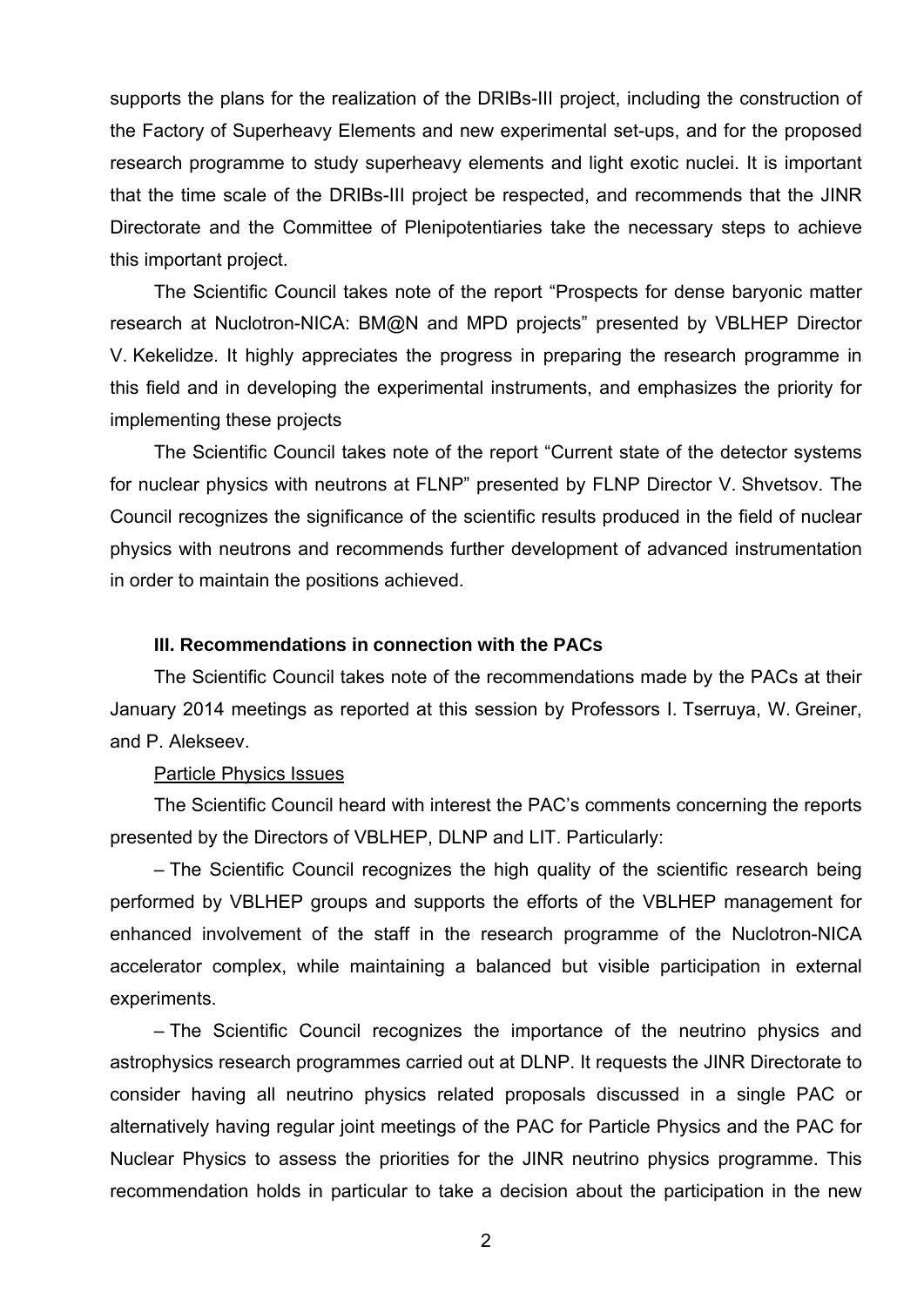supports the plans for the realization of the DRIBs-III project, including the construction of the Factory of Superheavy Elements and new experimental set-ups, and for the proposed research programme to study superheavy elements and light exotic nuclei. It is important that the time scale of the DRIBs-III project be respected, and recommends that the JINR Directorate and the Committee of Plenipotentiaries take the necessary steps to achieve this important project.

The Scientific Council takes note of the report "Prospects for dense baryonic matter research at Nuclotron-NICA: BM@N and MPD projects" presented by VBLHEP Director V. Kekelidze. It highly appreciates the progress in preparing the research programme in this field and in developing the experimental instruments, and emphasizes the priority for implementing these projects

The Scientific Council takes note of the report "Current state of the detector systems for nuclear physics with neutrons at FLNP" presented by FLNP Director V. Shvetsov. The Council recognizes the significance of the scientific results produced in the field of nuclear physics with neutrons and recommends further development of advanced instrumentation in order to maintain the positions achieved.

# **III. Recommendations in connection with the PACs**

The Scientific Council takes note of the recommendations made by the PACs at their January 2014 meetings as reported at this session by Professors I. Tserruya, W. Greiner, and P. Alekseev.

### Particle Physics Issues

The Scientific Council heard with interest the PAC's comments concerning the reports presented by the Directors of VBLHEP, DLNP and LIT. Particularly:

– The Scientific Council recognizes the high quality of the scientific research being performed by VBLHEP groups and supports the efforts of the VBLHEP management for enhanced involvement of the staff in the research programme of the Nuclotron-NICA accelerator complex, while maintaining a balanced but visible participation in external experiments.

– The Scientific Council recognizes the importance of the neutrino physics and astrophysics research programmes carried out at DLNP. It requests the JINR Directorate to consider having all neutrino physics related proposals discussed in a single PAC or alternatively having regular joint meetings of the PAC for Particle Physics and the PAC for Nuclear Physics to assess the priorities for the JINR neutrino physics programme. This recommendation holds in particular to take a decision about the participation in the new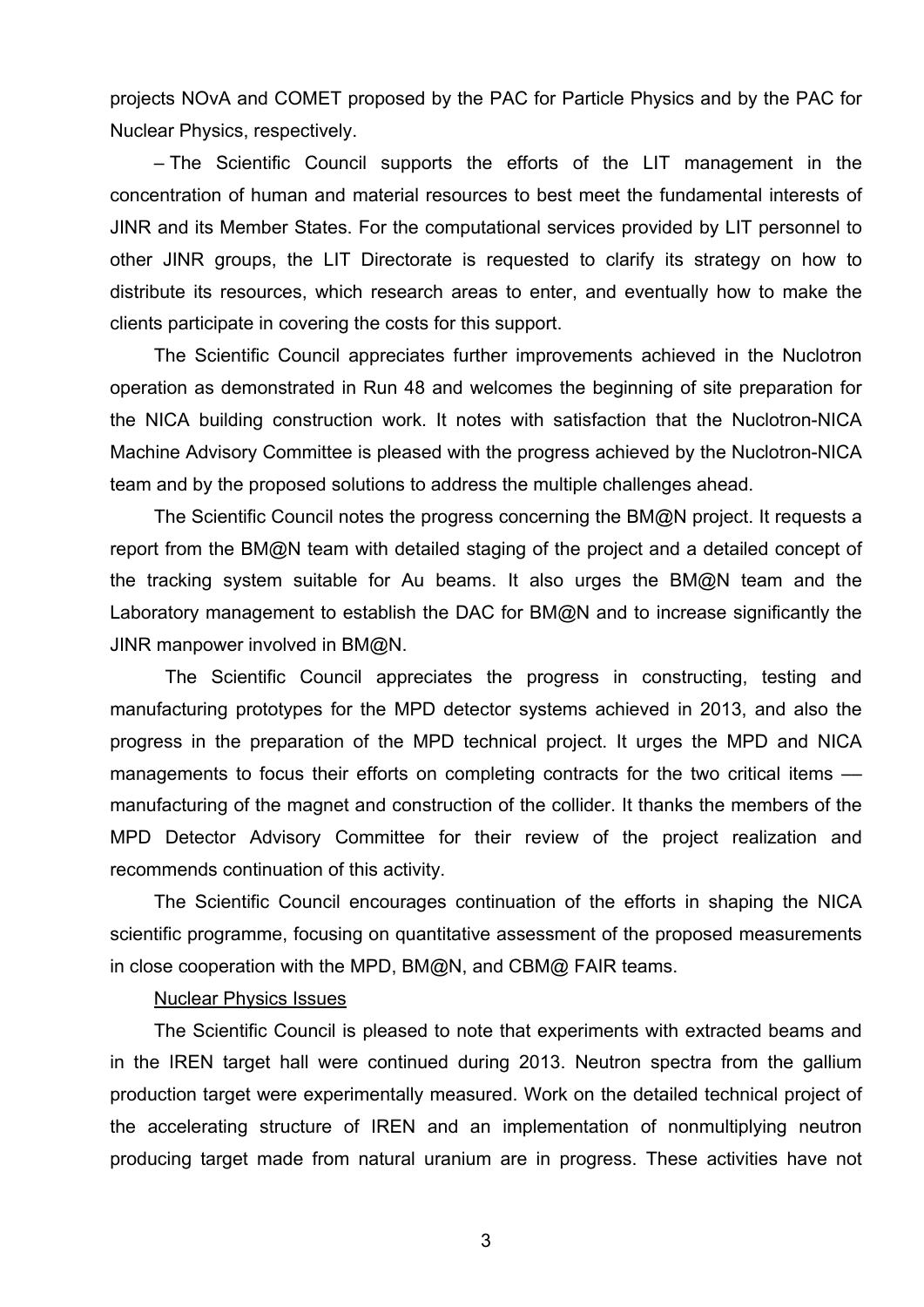projects NOvA and COMET proposed by the PAC for Particle Physics and by the PAC for Nuclear Physics, respectively.

– The Scientific Council supports the efforts of the LIT management in the concentration of human and material resources to best meet the fundamental interests of JINR and its Member States. For the computational services provided by LIT personnel to other JINR groups, the LIT Directorate is requested to clarify its strategy on how to distribute its resources, which research areas to enter, and eventually how to make the clients participate in covering the costs for this support.

The Scientific Council appreciates further improvements achieved in the Nuclotron operation as demonstrated in Run 48 and welcomes the beginning of site preparation for the NICA building construction work. It notes with satisfaction that the Nuclotron-NICA Machine Advisory Committee is pleased with the progress achieved by the Nuclotron-NICA team and by the proposed solutions to address the multiple challenges ahead.

The Scientific Council notes the progress concerning the BM@N project. It requests a report from the BM@N team with detailed staging of the project and a detailed concept of the tracking system suitable for Au beams. It also urges the BM@N team and the Laboratory management to establish the DAC for BM@N and to increase significantly the JINR manpower involved in BM@N.

The Scientific Council appreciates the progress in constructing, testing and manufacturing prototypes for the MPD detector systems achieved in 2013, and also the progress in the preparation of the MPD technical project. It urges the MPD and NICA managements to focus their efforts on completing contracts for the two critical items manufacturing of the magnet and construction of the collider. It thanks the members of the MPD Detector Advisory Committee for their review of the project realization and recommends continuation of this activity.

The Scientific Council encourages continuation of the efforts in shaping the NICA scientific programme, focusing on quantitative assessment of the proposed measurements in close cooperation with the MPD, BM@N, and CBM@ FAIR teams.

# Nuclear Physics Issues

The Scientific Council is pleased to note that experiments with extracted beams and in the IREN target hall were continued during 2013. Neutron spectra from the gallium production target were experimentally measured. Work on the detailed technical project of the accelerating structure of IREN and an implementation of nonmultiplying neutron producing target made from natural uranium are in progress. These activities have not

3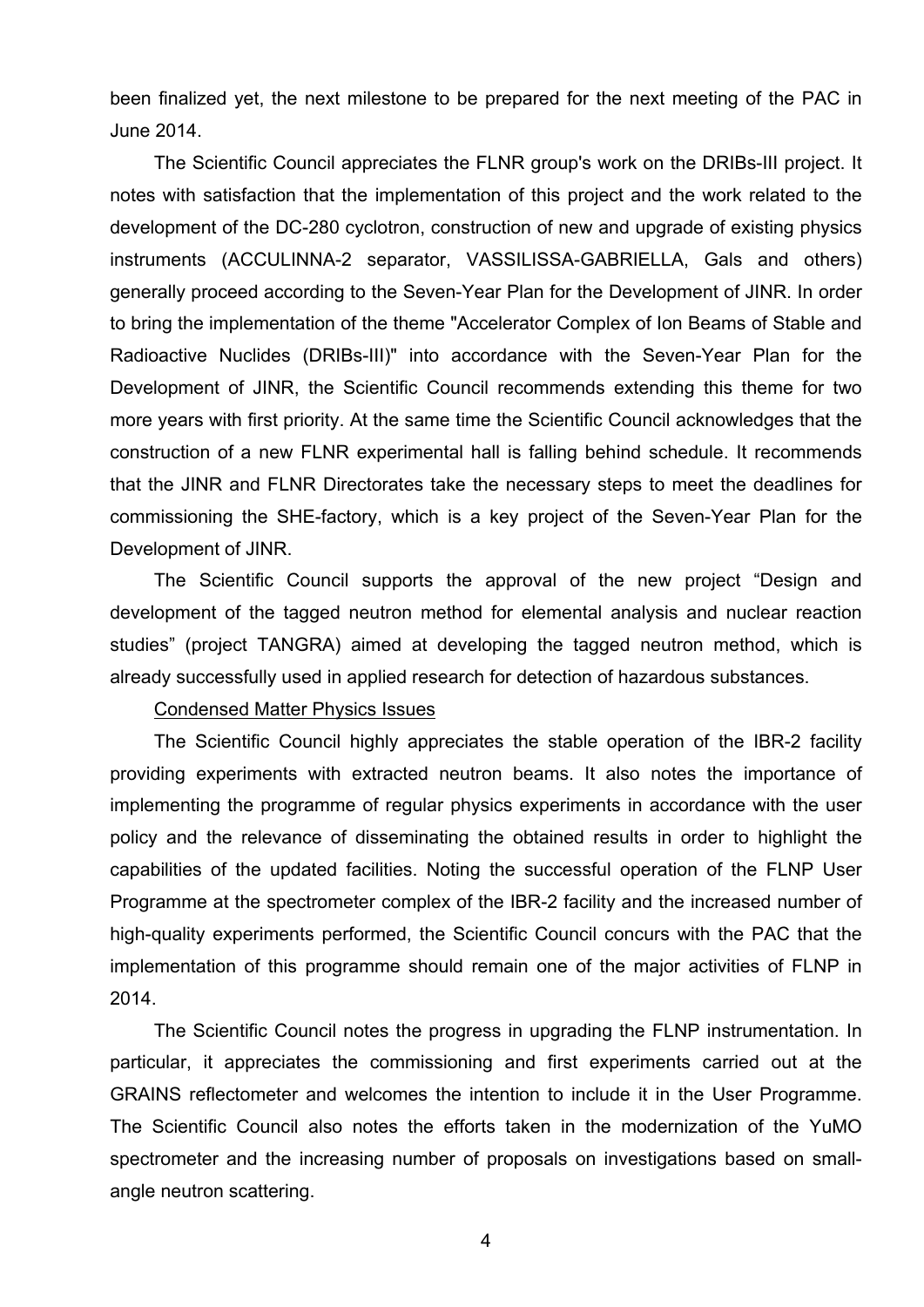been finalized yet, the next milestone to be prepared for the next meeting of the PAC in June 2014.

The Scientific Council appreciates the FLNR group's work on the DRIBs-III project. It notes with satisfaction that the implementation of this project and the work related to the development of the DC-280 cyclotron, construction of new and upgrade of existing physics instruments (ACCULINNA-2 separator, VASSILISSA-GABRIELLA, Gals and others) generally proceed according to the Seven-Year Plan for the Development of JINR. In order to bring the implementation of the theme "Accelerator Complex of Ion Beams of Stable and Radioactive Nuclides (DRIBs-III)" into accordance with the Seven-Year Plan for the Development of JINR, the Scientific Council recommends extending this theme for two more years with first priority. At the same time the Scientific Council acknowledges that the construction of a new FLNR experimental hall is falling behind schedule. It recommends that the JINR and FLNR Directorates take the necessary steps to meet the deadlines for commissioning the SHE-factory, which is a key project of the Seven-Year Plan for the Development of JINR.

The Scientific Council supports the approval of the new project "Design and development of the tagged neutron method for elemental analysis and nuclear reaction studies" (project TANGRA) aimed at developing the tagged neutron method, which is already successfully used in applied research for detection of hazardous substances.

# Condensed Matter Physics Issues

The Scientific Council highly appreciates the stable operation of the IBR-2 facility providing experiments with extracted neutron beams. It also notes the importance of implementing the programme of regular physics experiments in accordance with the user policy and the relevance of disseminating the obtained results in order to highlight the capabilities of the updated facilities. Noting the successful operation of the FLNP User Programme at the spectrometer complex of the IBR-2 facility and the increased number of high-quality experiments performed, the Scientific Council concurs with the PAC that the implementation of this programme should remain one of the major activities of FLNP in 2014.

The Scientific Council notes the progress in upgrading the FLNP instrumentation. In particular, it appreciates the commissioning and first experiments carried out at the GRAINS reflectometer and welcomes the intention to include it in the User Programme. The Scientific Council also notes the efforts taken in the modernization of the YuMO spectrometer and the increasing number of proposals on investigations based on smallangle neutron scattering.

4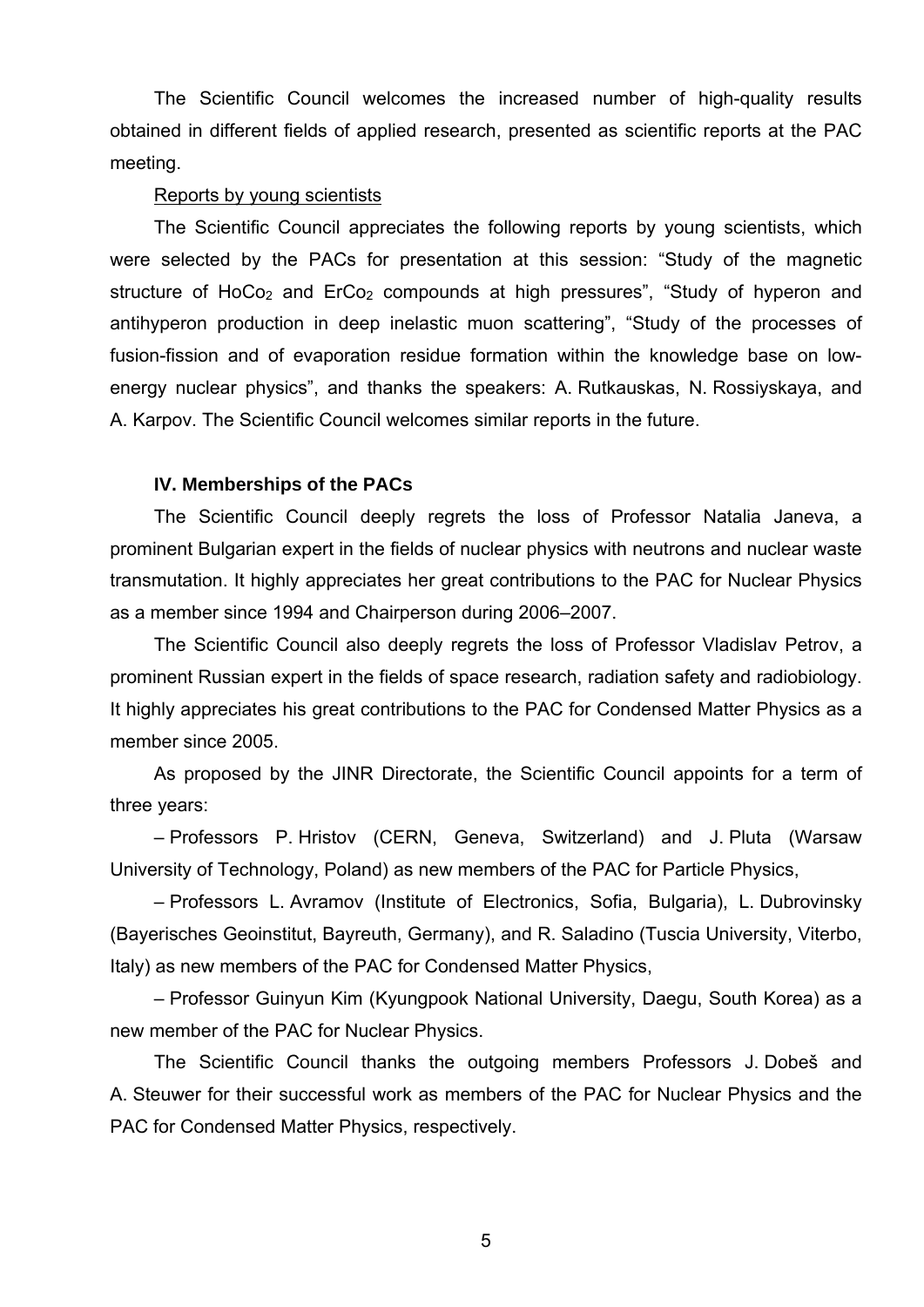The Scientific Council welcomes the increased number of high-quality results obtained in different fields of applied research, presented as scientific reports at the PAC meeting.

#### Reports by young scientists

The Scientific Council appreciates the following reports by young scientists, which were selected by the PACs for presentation at this session: "Study of the magnetic structure of HoCo<sub>2</sub> and ErCo<sub>2</sub> compounds at high pressures", "Study of hyperon and antihyperon production in deep inelastic muon scattering", "Study of the processes of fusion-fission and of evaporation residue formation within the knowledge base on lowenergy nuclear physics", and thanks the speakers: A. Rutkauskas, N. Rossiyskaya, and A. Karpov. The Scientific Council welcomes similar reports in the future.

# **IV. Memberships of the PACs**

The Scientific Council deeply regrets the loss of Professor Natalia Janeva, a prominent Bulgarian expert in the fields of nuclear physics with neutrons and nuclear waste transmutation. It highly appreciates her great contributions to the PAC for Nuclear Physics as a member since 1994 and Chairperson during 2006–2007.

The Scientific Council also deeply regrets the loss of Professor Vladislav Petrov, a prominent Russian expert in the fields of space research, radiation safety and radiobiology. It highly appreciates his great contributions to the PAC for Condensed Matter Physics as a member since 2005.

As proposed by the JINR Directorate, the Scientific Council appoints for a term of three years:

– Professors P. Hristov (CERN, Geneva, Switzerland) and J. Pluta (Warsaw University of Technology, Poland) as new members of the PAC for Particle Physics,

– Professors L. Avramov (Institute of Electronics, Sofia, Bulgaria), L. Dubrovinsky (Bayerisches Geoinstitut, Bayreuth, Germany), and R. Saladino (Tuscia University, Viterbo, Italy) as new members of the PAC for Condensed Matter Physics,

– Professor Guinyun Kim (Kyungpook National University, Daegu, South Korea) as a new member of the PAC for Nuclear Physics.

The Scientific Council thanks the outgoing members Professors J. Dobeš and A. Steuwer for their successful work as members of the PAC for Nuclear Physics and the PAC for Condensed Matter Physics, respectively.

5